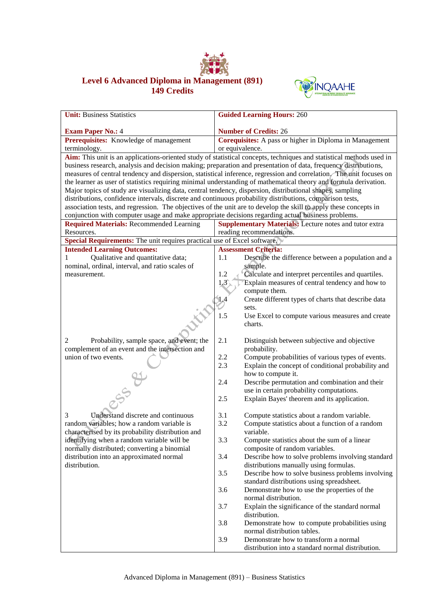

## **Level 6 Advanced Diploma in Management (891) 149 Credits**



| <b>Unit: Business Statistics</b>                                                                                 | <b>Guided Learning Hours: 260</b>                                                                                    |  |  |
|------------------------------------------------------------------------------------------------------------------|----------------------------------------------------------------------------------------------------------------------|--|--|
| <b>Exam Paper No.: 4</b>                                                                                         | <b>Number of Credits: 26</b>                                                                                         |  |  |
| Prerequisites: Knowledge of management                                                                           | Corequisites: A pass or higher in Diploma in Management                                                              |  |  |
| terminology.                                                                                                     | or equivalence.                                                                                                      |  |  |
|                                                                                                                  | Aim: This unit is an applications-oriented study of statistical concepts, techniques and statistical methods used in |  |  |
|                                                                                                                  | business research, analysis and decision making; preparation and presentation of data, frequency distributions,      |  |  |
|                                                                                                                  | measures of central tendency and dispersion, statistical inference, regression and correlation. The unit focuses on  |  |  |
| the learner as user of statistics requiring minimal understanding of mathematical theory and formula derivation. |                                                                                                                      |  |  |
| Major topics of study are visualizing data, central tendency, dispersion, distributional shapes, sampling        |                                                                                                                      |  |  |
| distributions, confidence intervals, discrete and continuous probability distributions, comparison tests,        |                                                                                                                      |  |  |
|                                                                                                                  | association tests, and regression. The objectives of the unit are to develop the skill to apply these concepts in    |  |  |
| conjunction with computer usage and make appropriate decisions regarding actual business problems.               |                                                                                                                      |  |  |
| <b>Required Materials: Recommended Learning</b>                                                                  | Supplementary Materials: Lecture notes and tutor extra                                                               |  |  |
| Resources.                                                                                                       | reading recommendations.                                                                                             |  |  |
| Special Requirements: The unit requires practical use of Excel software.                                         |                                                                                                                      |  |  |
| <b>Intended Learning Outcomes:</b>                                                                               | <b>Assessment Criteria:</b>                                                                                          |  |  |
| Qualitative and quantitative data;<br>1                                                                          | 1.1<br>Describe the difference between a population and a                                                            |  |  |
| nominal, ordinal, interval, and ratio scales of                                                                  | sample.                                                                                                              |  |  |
| measurement.                                                                                                     | Calculate and interpret percentiles and quartiles.<br>1.2                                                            |  |  |
|                                                                                                                  | 1.3<br>Explain measures of central tendency and how to                                                               |  |  |
|                                                                                                                  | compute them.                                                                                                        |  |  |
|                                                                                                                  | Create different types of charts that describe data<br>1.4                                                           |  |  |
|                                                                                                                  | sets.                                                                                                                |  |  |
|                                                                                                                  | 1.5<br>Use Excel to compute various measures and create                                                              |  |  |
|                                                                                                                  | charts.                                                                                                              |  |  |
|                                                                                                                  |                                                                                                                      |  |  |
| Probability, sample space, and event; the<br>2                                                                   | 2.1<br>Distinguish between subjective and objective                                                                  |  |  |
| complement of an event and the intersection and                                                                  | probability.                                                                                                         |  |  |
| union of two events.                                                                                             | 2.2<br>Compute probabilities of various types of events.<br>2.3                                                      |  |  |
|                                                                                                                  | Explain the concept of conditional probability and<br>how to compute it.                                             |  |  |
|                                                                                                                  | 2.4<br>Describe permutation and combination and their                                                                |  |  |
|                                                                                                                  | use in certain probability computations.                                                                             |  |  |
|                                                                                                                  | Explain Bayes' theorem and its application.<br>2.5                                                                   |  |  |
|                                                                                                                  |                                                                                                                      |  |  |
| 3<br>Understand discrete and continuous                                                                          | 3.1<br>Compute statistics about a random variable.                                                                   |  |  |
| random variables; how a random variable is                                                                       | 3.2<br>Compute statistics about a function of a random                                                               |  |  |
| characterised by its probability distribution and                                                                | variable.                                                                                                            |  |  |
| identifying when a random variable will be                                                                       | 3.3<br>Compute statistics about the sum of a linear                                                                  |  |  |
| normally distributed; converting a binomial                                                                      | composite of random variables.                                                                                       |  |  |
| distribution into an approximated normal                                                                         | Describe how to solve problems involving standard<br>3.4                                                             |  |  |
| distribution.                                                                                                    | distributions manually using formulas.                                                                               |  |  |
|                                                                                                                  | Describe how to solve business problems involving<br>3.5                                                             |  |  |
|                                                                                                                  | standard distributions using spreadsheet.                                                                            |  |  |
|                                                                                                                  | 3.6<br>Demonstrate how to use the properties of the                                                                  |  |  |
|                                                                                                                  | normal distribution.                                                                                                 |  |  |
|                                                                                                                  | 3.7<br>Explain the significance of the standard normal                                                               |  |  |
|                                                                                                                  | distribution.                                                                                                        |  |  |
|                                                                                                                  | 3.8<br>Demonstrate how to compute probabilities using                                                                |  |  |
|                                                                                                                  | normal distribution tables.                                                                                          |  |  |
|                                                                                                                  | 3.9<br>Demonstrate how to transform a normal                                                                         |  |  |
|                                                                                                                  | distribution into a standard normal distribution.                                                                    |  |  |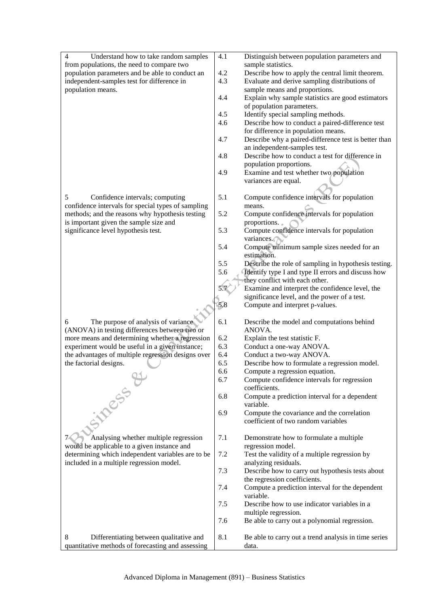| $\overline{4}$<br>Understand how to take random samples                                    | 4.1 | Distinguish between population parameters and                                     |
|--------------------------------------------------------------------------------------------|-----|-----------------------------------------------------------------------------------|
| from populations, the need to compare two                                                  |     | sample statistics.                                                                |
| population parameters and be able to conduct an                                            | 4.2 | Describe how to apply the central limit theorem.                                  |
| independent-samples test for difference in                                                 | 4.3 | Evaluate and derive sampling distributions of                                     |
| population means.                                                                          |     | sample means and proportions.                                                     |
|                                                                                            | 4.4 | Explain why sample statistics are good estimators                                 |
|                                                                                            |     | of population parameters.                                                         |
|                                                                                            | 4.5 | Identify special sampling methods.                                                |
|                                                                                            | 4.6 | Describe how to conduct a paired-difference test                                  |
|                                                                                            |     | for difference in population means.                                               |
|                                                                                            | 4.7 | Describe why a paired-difference test is better than                              |
|                                                                                            |     | an independent-samples test.                                                      |
|                                                                                            | 4.8 | Describe how to conduct a test for difference in                                  |
|                                                                                            |     | population proportions.                                                           |
|                                                                                            | 4.9 | Examine and test whether two population                                           |
|                                                                                            |     | variances are equal.                                                              |
|                                                                                            | 5.1 |                                                                                   |
| 5<br>Confidence intervals; computing<br>confidence intervals for special types of sampling |     | Compute confidence intervals for population                                       |
| methods; and the reasons why hypothesis testing                                            | 5.2 | means.<br>Compute confidence intervals for population                             |
| is important given the sample size and                                                     |     | proportions.                                                                      |
| significance level hypothesis test.                                                        | 5.3 | Compute confidence intervals for population                                       |
|                                                                                            |     | variances.                                                                        |
|                                                                                            | 5.4 | Compute minimum sample sizes needed for an                                        |
|                                                                                            |     | estimation.                                                                       |
|                                                                                            | 5.5 | Describe the role of sampling in hypothesis testing.                              |
|                                                                                            | 5.6 | Identify type I and type II errors and discuss how                                |
|                                                                                            |     | they conflict with each other.                                                    |
|                                                                                            | 5.7 | Examine and interpret the confidence level, the                                   |
|                                                                                            |     | significance level, and the power of a test.                                      |
|                                                                                            | 5.8 | Compute and interpret p-values.                                                   |
|                                                                                            |     |                                                                                   |
| The purpose of analysis of variance<br>6                                                   | 6.1 | Describe the model and computations behind                                        |
| (ANOVA) in testing differences between two or                                              |     | ANOVA.                                                                            |
| more means and determining whether a regression                                            | 6.2 | Explain the test statistic F.                                                     |
| experiment would be useful in a given instance;                                            | 6.3 | Conduct a one-way ANOVA.                                                          |
| the advantages of multiple regression designs over                                         | 6.4 | Conduct a two-way ANOVA.                                                          |
| the factorial designs.                                                                     | 6.5 | Describe how to formulate a regression model.                                     |
| $\bigcap_{i=1}^n$                                                                          | 6.6 | Compute a regression equation.                                                    |
|                                                                                            | 6.7 | Compute confidence intervals for regression                                       |
|                                                                                            |     | coefficients.                                                                     |
|                                                                                            | 6.8 | Compute a prediction interval for a dependent                                     |
| Simess                                                                                     |     | variable.                                                                         |
|                                                                                            | 6.9 | Compute the covariance and the correlation<br>coefficient of two random variables |
|                                                                                            |     |                                                                                   |
| Analysing whether multiple regression                                                      | 7.1 |                                                                                   |
| would be applicable to a given instance and                                                |     | Demonstrate how to formulate a multiple<br>regression model.                      |
| determining which independent variables are to be                                          | 7.2 | Test the validity of a multiple regression by                                     |
| included in a multiple regression model.                                                   |     | analyzing residuals.                                                              |
|                                                                                            | 7.3 | Describe how to carry out hypothesis tests about                                  |
|                                                                                            |     | the regression coefficients.                                                      |
|                                                                                            | 7.4 | Compute a prediction interval for the dependent                                   |
|                                                                                            |     | variable.                                                                         |
|                                                                                            | 7.5 | Describe how to use indicator variables in a                                      |
|                                                                                            |     | multiple regression.                                                              |
|                                                                                            | 7.6 | Be able to carry out a polynomial regression.                                     |
|                                                                                            |     |                                                                                   |
| 8<br>Differentiating between qualitative and                                               | 8.1 | Be able to carry out a trend analysis in time series                              |
| quantitative methods of forecasting and assessing                                          |     | data.                                                                             |
|                                                                                            |     |                                                                                   |